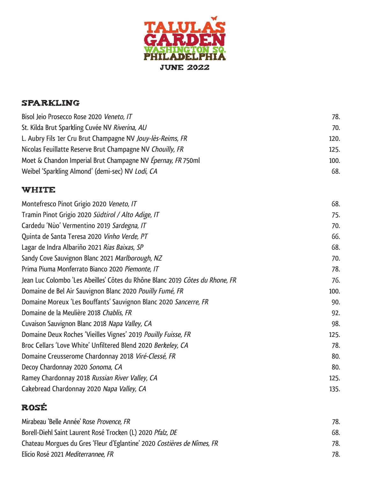

## Sparkling

| Bisol Jeio Prosecco Rose 2020 Veneto, IT                    | 78.  |
|-------------------------------------------------------------|------|
| St. Kilda Brut Sparkling Cuvée NV Riverina, AU              | 70.  |
| L. Aubry Fils 1er Cru Brut Champagne NV Jouy-lès-Reims, FR  | 120. |
| Nicolas Feuillatte Reserve Brut Champagne NV Chouilly, FR   | 125. |
| Moet & Chandon Imperial Brut Champagne NV Epernay, FR 750ml | 100. |
| Weibel 'Sparkling Almond' (demi-sec) NV Lodi, CA            | 68.  |

### **WHITE**

| 68.  |
|------|
| 75.  |
| 70.  |
| 66.  |
| 68.  |
| 70.  |
| 78.  |
| 76.  |
| 100. |
| 90.  |
| 92.  |
| 98.  |
| 125. |
| 78.  |
| 80.  |
| 80.  |
| 125. |
| 135. |
|      |

# Rosé

| Mirabeau 'Belle Année' Rose Provence, FR                                | 78. |
|-------------------------------------------------------------------------|-----|
| Borell-Diehl Saint Laurent Rosé Trocken (L) 2020 Pfalz, DE              | 68. |
| Chateau Morgues du Gres 'Fleur d'Eglantine' 2020 Costières de Nîmes, FR | 78. |
| Elicio Rosé 2021 Mediterrannee, FR                                      | 78. |